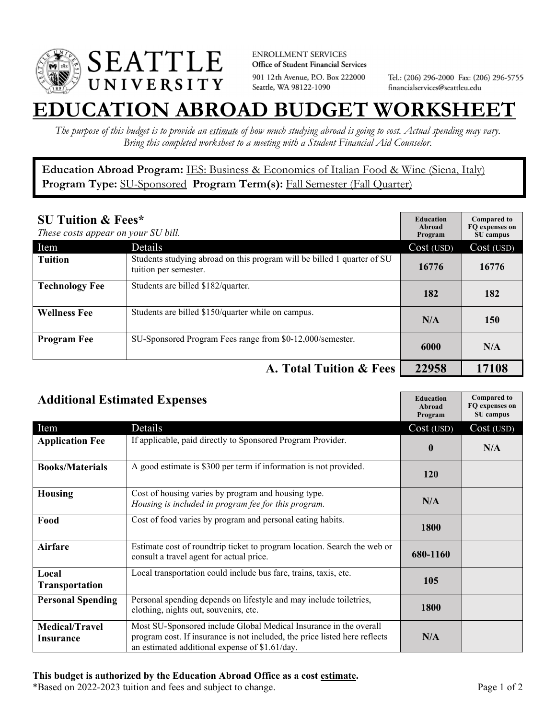

**ENROLLMENT SERVICES** Office of Student Financial Services 901 12th Avenue, P.O. Box 222000 Seattle, WA 98122-1090

Tel.: (206) 296-2000 Fax: (206) 296-5755 financialservices@seattleu.edu

## **EATION ABROAD BUDGET WORKSHEE**

*The purpose of this budget is to provide an estimate of how much studying abroad is going to cost. Actual spending may vary. Bring this completed worksheet to a meeting with a Student Financial Aid Counselor.* 

**Education Abroad Program:** IES: Business & Economics of Italian Food & Wine (Siena, Italy) Program Type: **SU-Sponsored** Program Term(s): **Fall Semester (Fall Quarter)** 

| <b>SU Tuition &amp; Fees*</b><br>These costs appear on your SU bill. |                                                                                                  | <b>Education</b><br>Abroad<br>Program | <b>Compared to</b><br>FO expenses on<br>SU campus |
|----------------------------------------------------------------------|--------------------------------------------------------------------------------------------------|---------------------------------------|---------------------------------------------------|
| Item                                                                 | Details                                                                                          | Cost (USD)                            | Cost (USD)                                        |
| <b>Tuition</b>                                                       | Students studying abroad on this program will be billed 1 quarter of SU<br>tuition per semester. | 16776                                 | 16776                                             |
| <b>Technology Fee</b>                                                | Students are billed \$182/quarter.                                                               | 182                                   | 182                                               |
| <b>Wellness Fee</b>                                                  | Students are billed \$150/quarter while on campus.                                               | N/A                                   | 150                                               |
| <b>Program Fee</b>                                                   | SU-Sponsored Program Fees range from \$0-12,000/semester.                                        | 6000                                  | N/A                                               |
| A. Total Tuition & Fees                                              |                                                                                                  | 22958                                 | 17108                                             |

| <b>Additional Estimated Expenses</b> |                                                                                                                                                                                                   | <b>Education</b><br>Abroad<br>Program | <b>Compared to</b><br>FQ expenses on<br>SU campus |
|--------------------------------------|---------------------------------------------------------------------------------------------------------------------------------------------------------------------------------------------------|---------------------------------------|---------------------------------------------------|
| Item                                 | Details                                                                                                                                                                                           | Cost (USD)                            | Cost (USD)                                        |
| <b>Application Fee</b>               | If applicable, paid directly to Sponsored Program Provider.                                                                                                                                       | $\mathbf{0}$                          | N/A                                               |
| <b>Books/Materials</b>               | A good estimate is \$300 per term if information is not provided.                                                                                                                                 | 120                                   |                                                   |
| <b>Housing</b>                       | Cost of housing varies by program and housing type.<br>Housing is included in program fee for this program.                                                                                       | N/A                                   |                                                   |
| Food                                 | Cost of food varies by program and personal eating habits.                                                                                                                                        | 1800                                  |                                                   |
| <b>Airfare</b>                       | Estimate cost of roundtrip ticket to program location. Search the web or<br>consult a travel agent for actual price.                                                                              | 680-1160                              |                                                   |
| Local<br><b>Transportation</b>       | Local transportation could include bus fare, trains, taxis, etc.                                                                                                                                  | 105                                   |                                                   |
| <b>Personal Spending</b>             | Personal spending depends on lifestyle and may include toiletries,<br>clothing, nights out, souvenirs, etc.                                                                                       | 1800                                  |                                                   |
| <b>Medical/Travel</b><br>Insurance   | Most SU-Sponsored include Global Medical Insurance in the overall<br>program cost. If insurance is not included, the price listed here reflects<br>an estimated additional expense of \$1.61/day. | N/A                                   |                                                   |

## **This budget is authorized by the Education Abroad Office as a cost estimate.**

\*Based on 2022-2023 tuition and fees and subject to change. Page 1 of 2